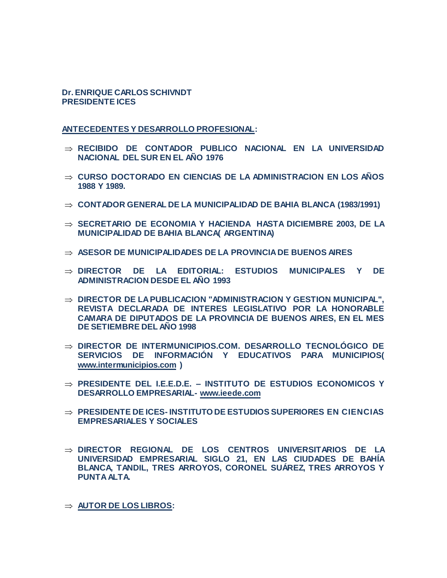## **Dr. ENRIQUE CARLOS SCHIVNDT PRESIDENTE ICES**

**ANTECEDENTES Y DESARROLLO PROFESIONAL:**

- **RECIBIDO DE CONTADOR PUBLICO NACIONAL EN LA UNIVERSIDAD NACIONAL DEL SUR EN EL AÑO 1976**
- **CURSO DOCTORADO EN CIENCIAS DE LA ADMINISTRACION EN LOS AÑOS 1988 Y 1989.**
- **CONTADOR GENERAL DE LA MUNICIPALIDAD DE BAHIA BLANCA (1983/1991)**
- $\Rightarrow$  SECRETARIO DE ECONOMIA Y HACIENDA HASTA DICIEMBRE 2003, DE LA **MUNICIPALIDAD DE BAHIA BLANCA( ARGENTINA)**
- **ASESOR DE MUNICIPALIDADES DE LA PROVINCIA DE BUENOS AIRES**
- **DIRECTOR DE LA EDITORIAL: ESTUDIOS MUNICIPALES Y DE ADMINISTRACION DESDE EL AÑO 1993**
- $\Rightarrow$  **DIRECTOR DE LA PUBLICACION "ADMINISTRACION Y GESTION MUNICIPAL", REVISTA DECLARADA DE INTERES LEGISLATIVO POR LA HONORABLE CAMARA DE DIPUTADOS DE LA PROVINCIA DE BUENOS AIRES, EN EL MES DE SETIEMBRE DEL AÑO 1998**
- **DIRECTOR DE INTERMUNICIPIOS.COM. DESARROLLO TECNOLÓGICO DE SERVICIOS DE INFORMACIÓN Y EDUCATIVOS PARA MUNICIPIOS( [www.intermunicipios.com](http://www.intermunicipios.com/) )**
- **PRESIDENTE DEL I.E.E.D.E. – INSTITUTO DE ESTUDIOS ECONOMICOS Y DESARROLLO EMPRESARIAL- [www.ieede.com](http://www.ieede.com/)**
- **PRESIDENTE DE ICES- INSTITUTO DE ESTUDIOS SUPERIORES EN CIENCIAS EMPRESARIALES Y SOCIALES**
- **DIRECTOR REGIONAL DE LOS CENTROS UNIVERSITARIOS DE LA UNIVERSIDAD EMPRESARIAL SIGLO 21, EN LAS CIUDADES DE BAHÍA BLANCA, TANDIL, TRES ARROYOS, CORONEL SUÁREZ, TRES ARROYOS Y PUNTA ALTA.**

**AUTOR DE LOS LIBROS:**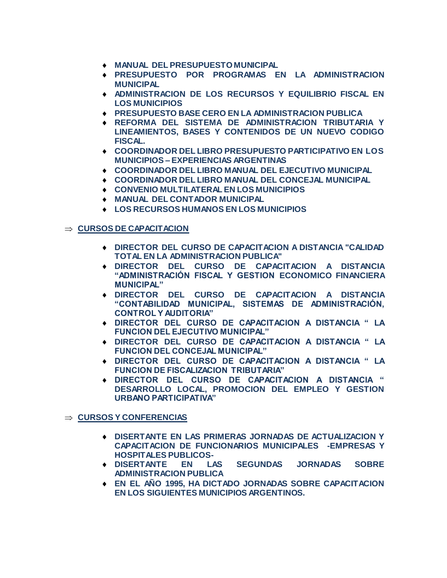- **MANUAL DEL PRESUPUESTO MUNICIPAL**
- **PRESUPUESTO POR PROGRAMAS EN LA ADMINISTRACION MUNICIPAL**
- **ADMINISTRACION DE LOS RECURSOS Y EQUILIBRIO FISCAL EN LOS MUNICIPIOS**
- **PRESUPUESTO BASE CERO EN LA ADMINISTRACION PUBLICA**
- **REFORMA DEL SISTEMA DE ADMINISTRACION TRIBUTARIA Y LINEAMIENTOS, BASES Y CONTENIDOS DE UN NUEVO CODIGO FISCAL.**
- **COORDINADOR DEL LIBRO PRESUPUESTO PARTICIPATIVO EN LOS MUNICIPIOS – EXPERIENCIAS ARGENTINAS**
- **COORDINADOR DEL LIBRO MANUAL DEL EJECUTIVO MUNICIPAL**
- **COORDINADOR DEL LIBRO MANUAL DEL CONCEJAL MUNICIPAL**
- **CONVENIO MULTILATERAL EN LOS MUNICIPIOS**
- **MANUAL DEL CONTADOR MUNICIPAL**
- **LOS RECURSOS HUMANOS EN LOS MUNICIPIOS**

## $\Rightarrow$  **CURSOS DE CAPACITACION**

- **DIRECTOR DEL CURSO DE CAPACITACION A DISTANCIA "CALIDAD TOTAL EN LA ADMINISTRACION PUBLICA"**
- **DIRECTOR DEL CURSO DE CAPACITACION A DISTANCIA "ADMINISTRACIÓN FISCAL Y GESTION ECONOMICO FINANCIERA MUNICIPAL"**
- **DIRECTOR DEL CURSO DE CAPACITACION A DISTANCIA "CONTABILIDAD MUNICIPAL, SISTEMAS DE ADMINISTRACIÓN, CONTROL Y AUDITORIA"**
- **DIRECTOR DEL CURSO DE CAPACITACION A DISTANCIA " LA FUNCION DEL EJECUTIVO MUNICIPAL"**
- **DIRECTOR DEL CURSO DE CAPACITACION A DISTANCIA " LA FUNCION DEL CONCEJAL MUNICIPAL"**
- **DIRECTOR DEL CURSO DE CAPACITACION A DISTANCIA " LA FUNCION DE FISCALIZACION TRIBUTARIA"**
- **DIRECTOR DEL CURSO DE CAPACITACION A DISTANCIA " DESARROLLO LOCAL, PROMOCION DEL EMPLEO Y GESTION URBANO PARTICIPATIVA"**

**CURSOS Y CONFERENCIAS**

- **DISERTANTE EN LAS PRIMERAS JORNADAS DE ACTUALIZACION Y CAPACITACION DE FUNCIONARIOS MUNICIPALES -EMPRESAS Y HOSPITALES PUBLICOS-**
- **DISERTANTE EN LAS SEGUNDAS JORNADAS SOBRE ADMINISTRACION PUBLICA**
- **EN EL AÑO 1995, HA DICTADO JORNADAS SOBRE CAPACITACION EN LOS SIGUIENTES MUNICIPIOS ARGENTINOS.**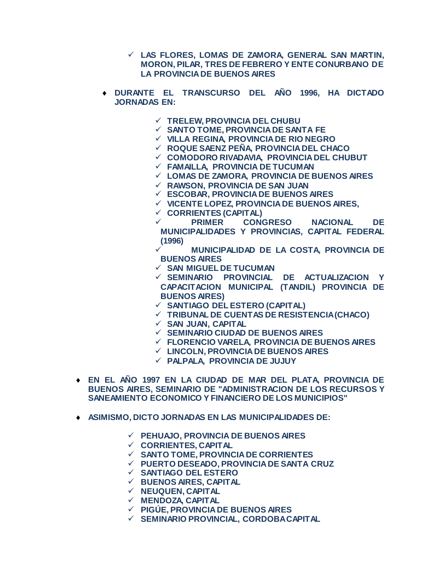- **LAS FLORES, LOMAS DE ZAMORA, GENERAL SAN MARTIN, MORON, PILAR, TRES DE FEBRERO Y ENTE CONURBANO DE LA PROVINCIA DE BUENOS AIRES**
- **DURANTE EL TRANSCURSO DEL AÑO 1996, HA DICTADO JORNADAS EN:**
	- **TRELEW, PROVINCIA DEL CHUBU**
	- **SANTO TOME, PROVINCIA DE SANTA FE**
	- **VILLA REGINA, PROVINCIA DE RIO NEGRO**
	- **ROQUE SAENZ PEÑA, PROVINCIA DEL CHACO**
	- **COMODORO RIVADAVIA, PROVINCIA DEL CHUBUT**
	- **FAMAILLA, PROVINCIA DE TUCUMAN**
	- **LOMAS DE ZAMORA, PROVINCIA DE BUENOS AIRES**
	- **RAWSON, PROVINCIA DE SAN JUAN**
	- **ESCOBAR, PROVINCIA DE BUENOS AIRES**
	- **VICENTE LOPEZ, PROVINCIA DE BUENOS AIRES,**
	- **CORRIENTES (CAPITAL)**
	- **PRIMER CONGRESO NACIONAL DE MUNICIPALIDADES Y PROVINCIAS, CAPITAL FEDERAL (1996)**
	- **MUNICIPALIDAD DE LA COSTA, PROVINCIA DE BUENOS AIRES**
	- **SAN MIGUEL DE TUCUMAN**
	- **SEMINARIO PROVINCIAL DE ACTUALIZACION Y CAPACITACION MUNICIPAL (TANDIL) PROVINCIA DE BUENOS AIRES)**
	- **SANTIAGO DEL ESTERO (CAPITAL)**
	- **TRIBUNAL DE CUENTAS DE RESISTENCIA (CHACO)**
	- **SAN JUAN, CAPITAL**
	- **SEMINARIO CIUDAD DE BUENOS AIRES**
	- **FLORENCIO VARELA, PROVINCIA DE BUENOS AIRES**
	- **LINCOLN, PROVINCIA DE BUENOS AIRES**
	- **PALPALA, PROVINCIA DE JUJUY**
- **EN EL AÑO 1997 EN LA CIUDAD DE MAR DEL PLATA, PROVINCIA DE BUENOS AIRES, SEMINARIO DE "ADMINISTRACION DE LOS RECURSOS Y SANEAMIENTO ECONOMICO Y FINANCIERO DE LOS MUNICIPIOS"**
- **ASIMISMO, DICTO JORNADAS EN LAS MUNICIPALIDADES DE:**
	- **PEHUAJO, PROVINCIA DE BUENOS AIRES**
	- **CORRIENTES, CAPITAL**
	- **SANTO TOME, PROVINCIA DE CORRIENTES**
	- **PUERTO DESEADO, PROVINCIA DE SANTA CRUZ**
	- **SANTIAGO DEL ESTERO**
	- **BUENOS AIRES, CAPITAL**
	- **NEUQUEN, CAPITAL**
	- **MENDOZA, CAPITAL**
	- **PIGÚE, PROVINCIA DE BUENOS AIRES**
	- **SEMINARIO PROVINCIAL, CORDOBA CAPITAL**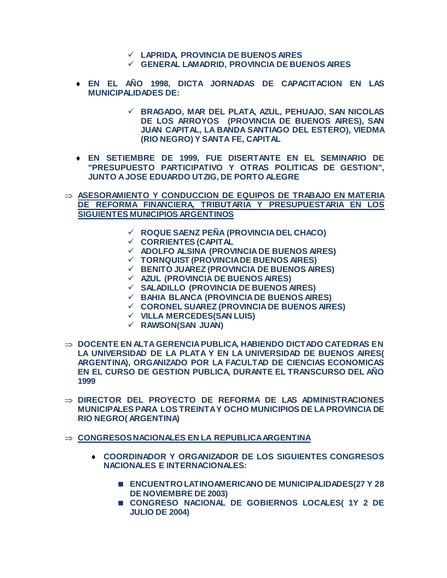- **LAPRIDA, PROVINCIA DE BUENOS AIRES**
- **GENERAL LAMADRID, PROVINCIA DE BUENOS AIRES**
- **EN EL AÑO 1998, DICTA JORNADAS DE CAPACITACION EN LAS MUNICIPALIDADES DE:** 
	- **BRAGADO, MAR DEL PLATA, AZUL, PEHUAJO, SAN NICOLAS DE LOS ARROYOS (PROVINCIA DE BUENOS AIRES), SAN JUAN CAPITAL, LA BANDA SANTIAGO DEL ESTERO), VIEDMA (RIO NEGRO) Y SANTA FE, CAPITAL**
- **EN SETIEMBRE DE 1999, FUE DISERTANTE EN EL SEMINARIO DE "PRESUPUESTO PARTICIPATIVO Y OTRAS POLITICAS DE GESTION", JUNTO A JOSE EDUARDO UTZIG, DE PORTO ALEGRE**
- **ASESORAMIENTO Y CONDUCCION DE EQUIPOS DE TRABAJO EN MATERIA DE REFORMA FINANCIERA, TRIBUTARIA Y PRESUPUESTARIA EN LOS SIGUIENTES MUNICIPIOS ARGENTINOS**
	- **ROQUE SAENZ PEÑA (PROVINCIA DEL CHACO)**
	- **CORRIENTES (CAPITAL**
	- **ADOLFO ALSINA (PROVINCIA DE BUENOS AIRES)**
	- **TORNQUIST (PROVINCIA DE BUENOS AIRES)**
	- **BENITO JUAREZ (PROVINCIA DE BUENOS AIRES)**
	- **AZUL (PROVINCIA DE BUENOS AIRES)**
	- **SALADILLO (PROVINCIA DE BUENOS AIRES)**
	- **BAHIA BLANCA (PROVINCIA DE BUENOS AIRES)**
	- **CORONEL SUAREZ (PROVINCIA DE BUENOS AIRES)**
	- **VILLA MERCEDES(SAN LUIS)**
	- **RAWSON(SAN JUAN)**
- **DOCENTE EN ALTA GERENCIA PUBLICA, HABIENDO DICTADO CATEDRAS EN LA UNIVERSIDAD DE LA PLATA Y EN LA UNIVERSIDAD DE BUENOS AIRES( ARGENTINA), ORGANIZADO POR LA FACULTAD DE CIENCIAS ECONOMICAS EN EL CURSO DE GESTION PUBLICA, DURANTE EL TRANSCURSO DEL AÑO 1999**
- **DIRECTOR DEL PROYECTO DE REFORMA DE LAS ADMINISTRACIONES MUNICIPALES PARA LOS TREINTA Y OCHO MUNICIPIOS DE LA PROVINCIA DE RIO NEGRO( ARGENTINA)**
- $\Rightarrow$  CONGRESOS NACIONALES EN LA REPUBLICA ARGENTINA
	- **COORDINADOR Y ORGANIZADOR DE LOS SIGUIENTES CONGRESOS NACIONALES E INTERNACIONALES:**
		- **ENCUENTRO LATINOAMERICANO DE MUNICIPALIDADES(27 Y 28 DE NOVIEMBRE DE 2003)**
		- **CONGRESO NACIONAL DE GOBIERNOS LOCALES( 1Y 2 DE JULIO DE 2004)**